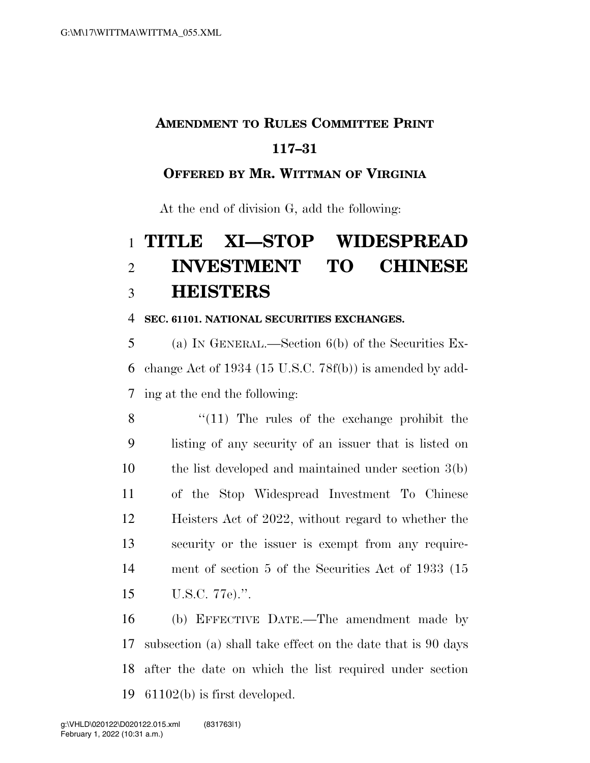# **AMENDMENT TO RULES COMMITTEE PRINT**

### **117–31**

#### **OFFERED BY MR. WITTMAN OF VIRGINIA**

At the end of division G, add the following:

## **TITLE XI—STOP WIDESPREAD INVESTMENT TO CHINESE HEISTERS**

#### **SEC. 61101. NATIONAL SECURITIES EXCHANGES.**

 (a) IN GENERAL.—Section 6(b) of the Securities Ex- change Act of 1934 (15 U.S.C. 78f(b)) is amended by add-ing at the end the following:

8 "(11) The rules of the exchange prohibit the listing of any security of an issuer that is listed on the list developed and maintained under section 3(b) of the Stop Widespread Investment To Chinese Heisters Act of 2022, without regard to whether the security or the issuer is exempt from any require- ment of section 5 of the Securities Act of 1933 (15 U.S.C. 77e).''.

 (b) EFFECTIVE DATE.—The amendment made by subsection (a) shall take effect on the date that is 90 days after the date on which the list required under section 61102(b) is first developed.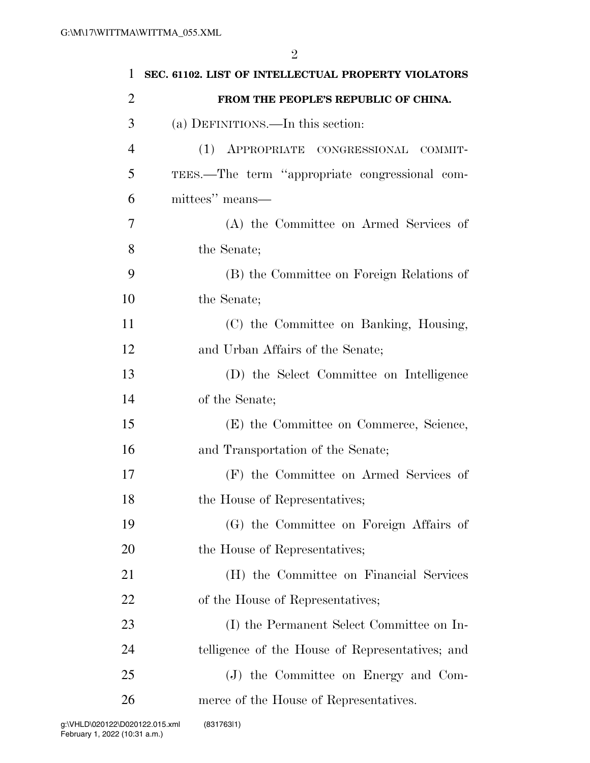| $\mathbf{1}$   | SEC. 61102. LIST OF INTELLECTUAL PROPERTY VIOLATORS |
|----------------|-----------------------------------------------------|
| $\overline{2}$ | FROM THE PEOPLE'S REPUBLIC OF CHINA.                |
| 3              | (a) DEFINITIONS.—In this section:                   |
| $\overline{4}$ | (1) APPROPRIATE CONGRESSIONAL COMMIT-               |
| 5              | TEES.—The term "appropriate congressional com-      |
| 6              | mittees" means-                                     |
| 7              | (A) the Committee on Armed Services of              |
| 8              | the Senate;                                         |
| 9              | (B) the Committee on Foreign Relations of           |
| 10             | the Senate;                                         |
| 11             | (C) the Committee on Banking, Housing,              |
| 12             | and Urban Affairs of the Senate;                    |
| 13             | (D) the Select Committee on Intelligence            |
| 14             | of the Senate;                                      |
| 15             | (E) the Committee on Commerce, Science,             |
| 16             | and Transportation of the Senate;                   |
| 17             | (F) the Committee on Armed Services of              |
| 18             | the House of Representatives;                       |
| 19             | (G) the Committee on Foreign Affairs of             |
| 20             | the House of Representatives;                       |
| 21             | (H) the Committee on Financial Services             |
| 22             | of the House of Representatives;                    |
| 23             | (I) the Permanent Select Committee on In-           |
| 24             | telligence of the House of Representatives; and     |
| 25             | (J) the Committee on Energy and Com-                |
| 26             | merce of the House of Representatives.              |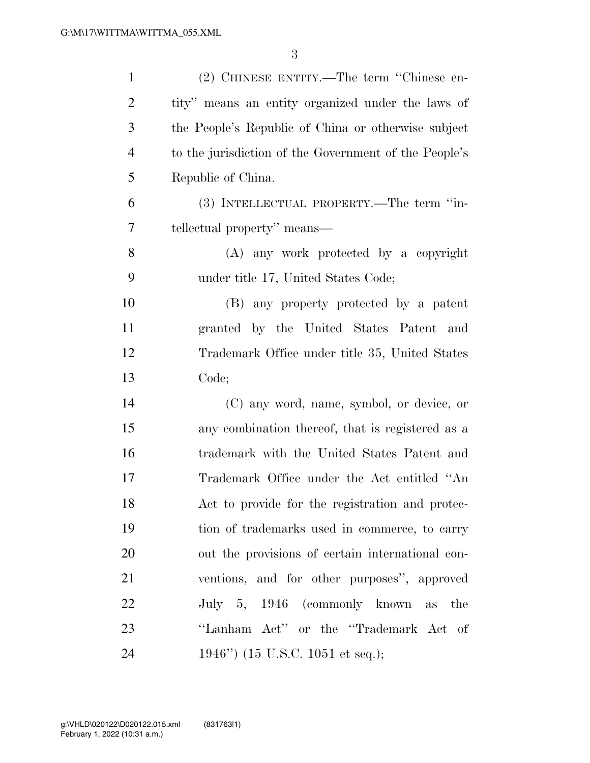| $\mathbf{1}$   | (2) CHINESE ENTITY.—The term "Chinese en-             |
|----------------|-------------------------------------------------------|
| $\overline{2}$ | tity" means an entity organized under the laws of     |
| 3              | the People's Republic of China or otherwise subject   |
| $\overline{4}$ | to the jurisdiction of the Government of the People's |
| 5              | Republic of China.                                    |
| 6              | (3) INTELLECTUAL PROPERTY.—The term "in-              |
| 7              | tellectual property" means—                           |
| 8              | (A) any work protected by a copyright                 |
| 9              | under title 17, United States Code;                   |
| 10             | (B) any property protected by a patent                |
| 11             | granted by the United States Patent and               |
| 12             | Trademark Office under title 35, United States        |
| 13             | Code;                                                 |
| 14             | (C) any word, name, symbol, or device, or             |
| 15             | any combination thereof, that is registered as a      |
| 16             | trademark with the United States Patent and           |
| 17             | Trademark Office under the Act entitled "An           |
| 18             | Act to provide for the registration and protec-       |
| 19             | tion of trademarks used in commerce, to carry         |
| 20             | out the provisions of certain international con-      |
| 21             | ventions, and for other purposes", approved           |
| 22             | July 5, 1946 (commonly known as the                   |
| 23             | "Lanham Act" or the "Trademark Act of                 |
| 24             | 1946") (15 U.S.C. 1051 et seq.);                      |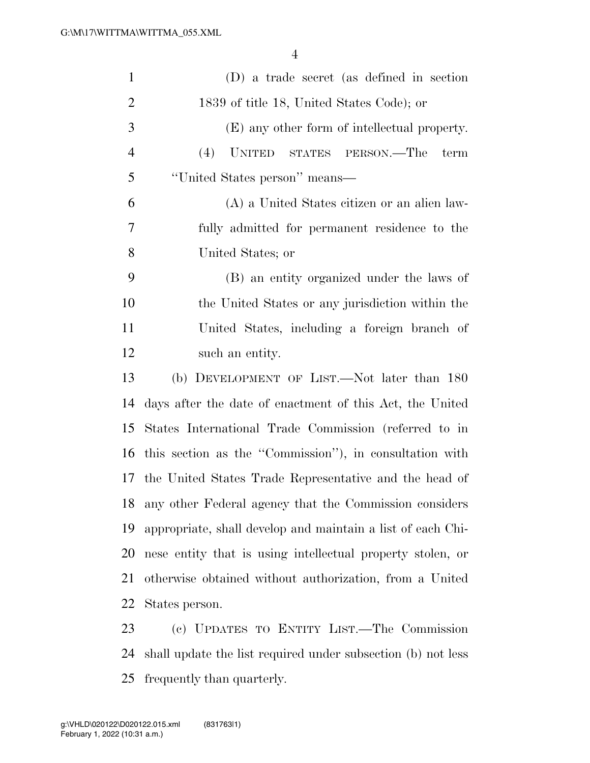| $\mathbf{1}$   | (D) a trade secret (as defined in section                   |
|----------------|-------------------------------------------------------------|
| $\overline{2}$ | 1839 of title 18, United States Code); or                   |
| 3              | (E) any other form of intellectual property.                |
| $\overline{4}$ | (4)<br>UNITED STATES PERSON.—The<br>term                    |
| 5              | "United States person" means—                               |
| 6              | (A) a United States citizen or an alien law-                |
| 7              | fully admitted for permanent residence to the               |
| 8              | United States; or                                           |
| 9              | (B) an entity organized under the laws of                   |
| 10             | the United States or any jurisdiction within the            |
| 11             | United States, including a foreign branch of                |
| 12             | such an entity.                                             |
| 13             | (b) DEVELOPMENT OF LIST.—Not later than 180                 |
| 14             | days after the date of enactment of this Act, the United    |
| 15             | States International Trade Commission (referred to in       |
| 16             | this section as the "Commission"), in consultation with     |
|                | 17 the United States Trade Representative and the head of   |
| 18             | any other Federal agency that the Commission considers      |
| 19             | appropriate, shall develop and maintain a list of each Chi- |
| 20             | nese entity that is using intellectual property stolen, or  |
| 21             | otherwise obtained without authorization, from a United     |
| 22             | States person.                                              |
| 23             | (c) UPDATES TO ENTITY LIST — The Commission                 |

 (c) UPDATES TO ENTITY LIST.—The Commission shall update the list required under subsection (b) not less frequently than quarterly.